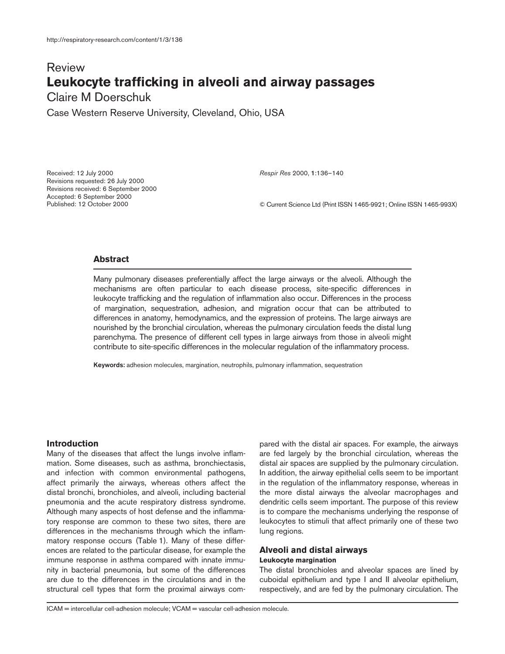# Review **Leukocyte trafficking in alveoli and airway passages**

Claire M Doerschuk

Case Western Reserve University, Cleveland, Ohio, USA

Received: 12 July 2000 Revisions requested: 26 July 2000 Revisions received: 6 September 2000 Accepted: 6 September 2000 Published: 12 October 2000

*Respir Res* 2000, **1**:136–140

© Current Science Ltd (Print ISSN 1465-9921; Online ISSN 1465-993X)

# **Abstract**

Many pulmonary diseases preferentially affect the large airways or the alveoli. Although the mechanisms are often particular to each disease process, site-specific differences in leukocyte trafficking and the regulation of inflammation also occur. Differences in the process of margination, sequestration, adhesion, and migration occur that can be attributed to differences in anatomy, hemodynamics, and the expression of proteins. The large airways are nourished by the bronchial circulation, whereas the pulmonary circulation feeds the distal lung parenchyma. The presence of different cell types in large airways from those in alveoli might contribute to site-specific differences in the molecular regulation of the inflammatory process.

**Keywords:** adhesion molecules, margination, neutrophils, pulmonary inflammation, sequestration

# **Introduction**

Many of the diseases that affect the lungs involve inflammation. Some diseases, such as asthma, bronchiectasis, and infection with common environmental pathogens, affect primarily the airways, whereas others affect the distal bronchi, bronchioles, and alveoli, including bacterial pneumonia and the acute respiratory distress syndrome. Although many aspects of host defense and the inflammatory response are common to these two sites, there are differences in the mechanisms through which the inflammatory response occurs (Table 1). Many of these differences are related to the particular disease, for example the immune response in asthma compared with innate immunity in bacterial pneumonia, but some of the differences are due to the differences in the circulations and in the structural cell types that form the proximal airways compared with the distal air spaces. For example, the airways are fed largely by the bronchial circulation, whereas the distal air spaces are supplied by the pulmonary circulation. In addition, the airway epithelial cells seem to be important in the regulation of the inflammatory response, whereas in the more distal airways the alveolar macrophages and dendritic cells seem important. The purpose of this review is to compare the mechanisms underlying the response of leukocytes to stimuli that affect primarily one of these two lung regions.

# **Alveoli and distal airways**

#### **Leukocyte margination**

The distal bronchioles and alveolar spaces are lined by cuboidal epithelium and type I and II alveolar epithelium, respectively, and are fed by the pulmonary circulation. The

ICAM = intercellular cell-adhesion molecule; VCAM = vascular cell-adhesion molecule.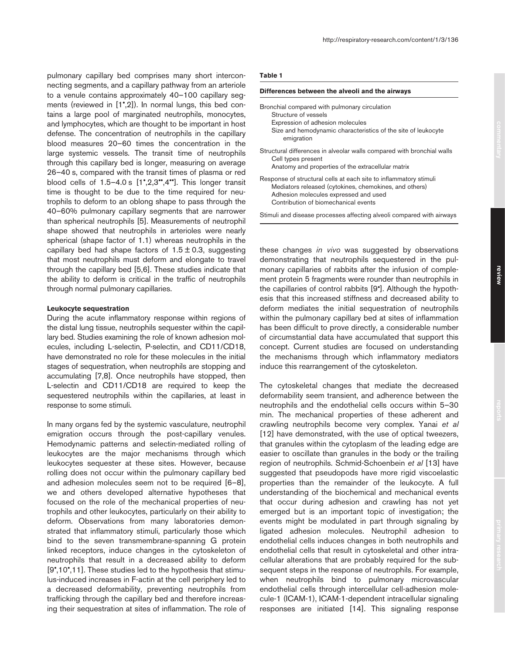pulmonary capillary bed comprises many short interconnecting segments, and a capillary pathway from an arteriole to a venule contains approximately 40–100 capillary segments (reviewed in [1•,2]). In normal lungs, this bed contains a large pool of marginated neutrophils, monocytes, and lymphocytes, which are thought to be important in host defense. The concentration of neutrophils in the capillary blood measures 20–60 times the concentration in the large systemic vessels. The transit time of neutrophils through this capillary bed is longer, measuring on average 26–40 s, compared with the transit times of plasma or red blood cells of  $1.5-4.0$  s  $[1^{\circ},2,3^{\circ\circ},4^{\circ\circ}]$ . This longer transit time is thought to be due to the time required for neutrophils to deform to an oblong shape to pass through the 40–60% pulmonary capillary segments that are narrower than spherical neutrophils [5]. Measurements of neutrophil shape showed that neutrophils in arterioles were nearly spherical (shape factor of 1.1) whereas neutrophils in the capillary bed had shape factors of  $1.5 \pm 0.3$ , suggesting that most neutrophils must deform and elongate to travel through the capillary bed [5,6]. These studies indicate that the ability to deform is critical in the traffic of neutrophils through normal pulmonary capillaries.

#### **Leukocyte sequestration**

During the acute inflammatory response within regions of the distal lung tissue, neutrophils sequester within the capillary bed. Studies examining the role of known adhesion molecules, including L-selectin, P-selectin, and CD11/CD18, have demonstrated no role for these molecules in the initial stages of sequestration, when neutrophils are stopping and accumulating [7,8]. Once neutrophils have stopped, then L-selectin and CD11/CD18 are required to keep the sequestered neutrophils within the capillaries, at least in response to some stimuli.

In many organs fed by the systemic vasculature, neutrophil emigration occurs through the post-capillary venules. Hemodynamic patterns and selectin-mediated rolling of leukocytes are the major mechanisms through which leukocytes sequester at these sites. However, because rolling does not occur within the pulmonary capillary bed and adhesion molecules seem not to be required [6–8], we and others developed alternative hypotheses that focused on the role of the mechanical properties of neutrophils and other leukocytes, particularly on their ability to deform. Observations from many laboratories demonstrated that inflammatory stimuli, particularly those which bind to the seven transmembrane-spanning G protein linked receptors, induce changes in the cytoskeleton of neutrophils that result in a decreased ability to deform [9•,10•,11]. These studies led to the hypothesis that stimulus-induced increases in F-actin at the cell periphery led to a decreased deformability, preventing neutrophils from trafficking through the capillary bed and therefore increasing their sequestration at sites of inflammation. The role of

#### **Differences between the alveoli and the airways**

| Bronchial compared with pulmonary circulation<br>Structure of vessels<br>Expression of adhesion molecules<br>Size and hemodynamic characteristics of the site of leukocyte<br>emigration                     |
|--------------------------------------------------------------------------------------------------------------------------------------------------------------------------------------------------------------|
| Structural differences in alveolar walls compared with bronchial walls<br>Cell types present<br>Anatomy and properties of the extracellular matrix                                                           |
| Response of structural cells at each site to inflammatory stimuli<br>Mediators released (cytokines, chemokines, and others)<br>Adhesion molecules expressed and used<br>Contribution of biomechanical events |
| Stimuli and disease processes affecting alveoli compared with airways                                                                                                                                        |

these changes *in vivo* was suggested by observations demonstrating that neutrophils sequestered in the pulmonary capillaries of rabbits after the infusion of complement protein 5 fragments were rounder than neutrophils in the capillaries of control rabbits [9•]. Although the hypothesis that this increased stiffness and decreased ability to deform mediates the initial sequestration of neutrophils within the pulmonary capillary bed at sites of inflammation has been difficult to prove directly, a considerable number of circumstantial data have accumulated that support this concept. Current studies are focused on understanding the mechanisms through which inflammatory mediators induce this rearrangement of the cytoskeleton.

The cytoskeletal changes that mediate the decreased deformability seem transient, and adherence between the neutrophils and the endothelial cells occurs within 5–30 min. The mechanical properties of these adherent and crawling neutrophils become very complex. Yanai *et al* [12] have demonstrated, with the use of optical tweezers, that granules within the cytoplasm of the leading edge are easier to oscillate than granules in the body or the trailing region of neutrophils. Schmid-Schoenbein *et al* [13] have suggested that pseudopods have more rigid viscoelastic properties than the remainder of the leukocyte. A full understanding of the biochemical and mechanical events that occur during adhesion and crawling has not yet emerged but is an important topic of investigation; the events might be modulated in part through signaling by ligated adhesion molecules. Neutrophil adhesion to endothelial cells induces changes in both neutrophils and endothelial cells that result in cytoskeletal and other intracellular alterations that are probably required for the subsequent steps in the response of neutrophils. For example, when neutrophils bind to pulmonary microvascular endothelial cells through intercellular cell-adhesion molecule-1 (ICAM-1), ICAM-1-dependent intracellular signaling responses are initiated [14]. This signaling response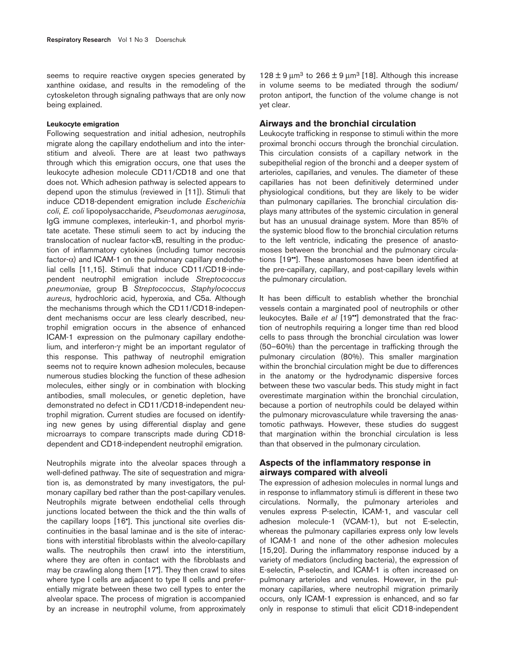seems to require reactive oxygen species generated by xanthine oxidase, and results in the remodeling of the cytoskeleton through signaling pathways that are only now being explained.

#### **Leukocyte emigration**

Following sequestration and initial adhesion, neutrophils migrate along the capillary endothelium and into the interstitium and alveoli. There are at least two pathways through which this emigration occurs, one that uses the leukocyte adhesion molecule CD11/CD18 and one that does not. Which adhesion pathway is selected appears to depend upon the stimulus (reviewed in [11]). Stimuli that induce CD18-dependent emigration include *Escherichia coli*, *E. coli* lipopolysaccharide, *Pseudomonas aeruginosa*, IgG immune complexes, interleukin-1, and phorbol myristate acetate. These stimuli seem to act by inducing the translocation of nuclear factor-κB, resulting in the production of inflammatory cytokines (including tumor necrosis factor-α) and ICAM-1 on the pulmonary capillary endothelial cells [11,15]. Stimuli that induce CD11/CD18-independent neutrophil emigration include *Streptococcus pneumoniae*, group B *Streptococcus*, *Staphylococcus aureus*, hydrochloric acid, hyperoxia, and C5a. Although the mechanisms through which the CD11/CD18-independent mechanisms occur are less clearly described, neutrophil emigration occurs in the absence of enhanced ICAM-1 expression on the pulmonary capillary endothelium, and interferon-γ might be an important regulator of this response. This pathway of neutrophil emigration seems not to require known adhesion molecules, because numerous studies blocking the function of these adhesion molecules, either singly or in combination with blocking antibodies, small molecules, or genetic depletion, have demonstrated no defect in CD11/CD18-independent neutrophil migration. Current studies are focused on identifying new genes by using differential display and gene microarrays to compare transcripts made during CD18 dependent and CD18-independent neutrophil emigration.

Neutrophils migrate into the alveolar spaces through a well-defined pathway. The site of sequestration and migration is, as demonstrated by many investigators, the pulmonary capillary bed rather than the post-capillary venules. Neutrophils migrate between endothelial cells through junctions located between the thick and the thin walls of the capillary loops [16•]. This junctional site overlies discontinuities in the basal laminae and is the site of interactions with interstitial fibroblasts within the alveolo-capillary walls. The neutrophils then crawl into the interstitium, where they are often in contact with the fibroblasts and may be crawling along them [17•]. They then crawl to sites where type I cells are adjacent to type II cells and preferentially migrate between these two cell types to enter the alveolar space. The process of migration is accompanied by an increase in neutrophil volume, from approximately 128  $\pm$  9  $\mu$ m<sup>3</sup> to 266  $\pm$  9  $\mu$ m<sup>3</sup> [18]. Although this increase in volume seems to be mediated through the sodium/ proton antiport, the function of the volume change is not yet clear.

#### **Airways and the bronchial circulation**

Leukocyte trafficking in response to stimuli within the more proximal bronchi occurs through the bronchial circulation. This circulation consists of a capillary network in the subepithelial region of the bronchi and a deeper system of arterioles, capillaries, and venules. The diameter of these capillaries has not been definitively determined under physiological conditions, but they are likely to be wider than pulmonary capillaries. The bronchial circulation displays many attributes of the systemic circulation in general but has an unusual drainage system. More than 85% of the systemic blood flow to the bronchial circulation returns to the left ventricle, indicating the presence of anastomoses between the bronchial and the pulmonary circulations [19••]. These anastomoses have been identified at the pre-capillary, capillary, and post-capillary levels within the pulmonary circulation.

It has been difficult to establish whether the bronchial vessels contain a marginated pool of neutrophils or other leukocytes. Baile *et al* [19••] demonstrated that the fraction of neutrophils requiring a longer time than red blood cells to pass through the bronchial circulation was lower (50–60%) than the percentage in trafficking through the pulmonary circulation (80%). This smaller margination within the bronchial circulation might be due to differences in the anatomy or the hydrodynamic dispersive forces between these two vascular beds. This study might in fact overestimate margination within the bronchial circulation, because a portion of neutrophils could be delayed within the pulmonary microvasculature while traversing the anastomotic pathways. However, these studies do suggest that margination within the bronchial circulation is less than that observed in the pulmonary circulation.

## **Aspects of the inflammatory response in airways compared with alveoli**

The expression of adhesion molecules in normal lungs and in response to inflammatory stimuli is different in these two circulations. Normally, the pulmonary arterioles and venules express P-selectin, ICAM-1, and vascular cell adhesion molecule-1 (VCAM-1), but not E-selectin, whereas the pulmonary capillaries express only low levels of ICAM-1 and none of the other adhesion molecules [15,20]. During the inflammatory response induced by a variety of mediators (including bacteria), the expression of E-selectin, P-selectin, and ICAM-1 is often increased on pulmonary arterioles and venules. However, in the pulmonary capillaries, where neutrophil migration primarily occurs, only ICAM-1 expression is enhanced, and so far only in response to stimuli that elicit CD18-independent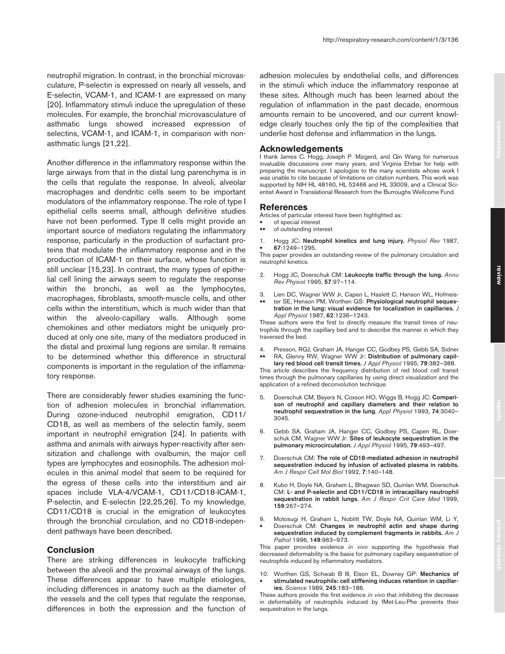neutrophil migration. In contrast, in the bronchial microvasculature, P-selectin is expressed on nearly all vessels, and E-selectin, VCAM-1, and ICAM-1 are expressed on many [20]. Inflammatory stimuli induce the upregulation of these molecules. For example, the bronchial microvasculature of asthmatic lungs showed increased expression of selectins, VCAM-1, and ICAM-1, in comparison with nonasthmatic lungs [21,22].

Another difference in the inflammatory response within the large airways from that in the distal lung parenchyma is in the cells that regulate the response. In alveoli, alveolar macrophages and dendritic cells seem to be important modulators of the inflammatory response. The role of type I epithelial cells seems small, although definitive studies have not been performed. Type II cells might provide an important source of mediators regulating the inflammatory response, particularly in the production of surfactant proteins that modulate the inflammatory response and in the production of ICAM-1 on their surface, whose function is still unclear [15,23]. In contrast, the many types of epithelial cell lining the airways seem to regulate the response within the bronchi, as well as the lymphocytes, macrophages, fibroblasts, smooth-muscle cells, and other cells within the interstitium, which is much wider than that within the alveolo-capillary walls. Although some chemokines and other mediators might be uniquely produced at only one site, many of the mediators produced in the distal and proximal lung regions are similar. It remains to be determined whether this difference in structural components is important in the regulation of the inflammatory response.

There are considerably fewer studies examining the function of adhesion molecules in bronchial inflammation. During ozone-induced neutrophil emigration, CD11/ CD18, as well as members of the selectin family, seem important in neutrophil emigration [24]. In patients with asthma and animals with airways hyper-reactivity after sensitization and challenge with ovalbumin, the major cell types are lymphocytes and eosinophils. The adhesion molecules in this animal model that seem to be required for the egress of these cells into the interstitium and air spaces include VLA-4/VCAM-1, CD11/CD18-ICAM-1, P-selectin, and E-selectin [22,25,26]. To my knowledge, CD11/CD18 is crucial in the emigration of leukocytes through the bronchial circulation, and no CD18-independent pathways have been described.

## **Conclusion**

There are striking differences in leukocyte trafficking between the alveoli and the proximal airways of the lungs. These differences appear to have multiple etiologies, including differences in anatomy such as the diameter of the vessels and the cell types that regulate the response, differences in both the expression and the function of adhesion molecules by endothelial cells, and differences in the stimuli which induce the inflammatory response at these sites. Although much has been learned about the regulation of inflammation in the past decade, enormous amounts remain to be uncovered, and our current knowledge clearly touches only the tip of the complexities that underlie host defense and inflammation in the lungs.

#### **Acknowledgements**

I thank James C. Hogg, Joseph P. Mizgerd, and Qin Wang for numerous invaluable discussions over many years, and Virginia Ehrbar for help with preparing the manuscript. I apologize to the many scientists whose work I was unable to cite because of limitations on citation numbers. This work was supported by NIH HL 48160, HL 52466 and HL 33009, and a Clinical Scientist Award in Translational Research from the Burroughs Wellcome Fund.

#### **References**

Articles of particular interest have been highlighted as:

- of special interest<br>• of outstanding inter-
- •• of outstanding interest
- 1. Hogg JC: **Neutrophil kinetics and lung injury.** *Physiol Rev* 1987, • **67**:1249–1295.

This paper provides an outstanding review of the pulmonary circulation and neutrophil kinetics.

- 2. Hogg JC, Doerschuk CM: **Leukocyte traffic through the lung.** *Annu Rev Physiol* 1995, **57**:97–114.
- 3. Lien DC, Wagner WW Jr, Capen L, Haslett C, Hanson WL, Hofmeis- •• ter SE, Henson PM, Worthen GS: **Physiological neutrophil sequestration in the lung: visual evidence for localization in capillaries.** *J Appl Physiol* 1987, **62**:1236–1243.

These authors were the first to directly measure the transit times of neutrophils through the capillary bed and to describe the manner in which they traversed the bed.

- 4. Presson, RGJ, Graham JA, Hanger CC, Godbey PS, Gebb SA, Sidner
- •• RA, Glenny RW, Wagner WW Jr: **Distribution of pulmonary capillary red blood cell transit times.** *J Appl Physiol* 1995, **79**:382–388.

This article describes the frequency distribution of red blood cell transit times through the pulmonary capillaries by using direct visualization and the application of a refined deconvolution technique.

- 5. Doerschuk CM, Beyers N, Coxson HO, Wiggs B, Hogg JC: **Comparison of neutrophil and capillary diameters and their relation to neutrophil sequestration in the lung.** *Appl Physiol* 1993, **74**:3040– 3045.
- 6. Gebb SA, Graham JA, Hanger CC, Godbey PS, Capen RL, Doerschuk CM, Wagner WW Jr: **Sites of leukocyte sequestration in the pulmonary microcirculation.** *J Appl Physiol* 1995, **79**:493–497.
- 7. Doerschuk CM: **The role of CD18-mediated adhesion in neutrophil sequestration induced by infusion of activated plasma in rabbits.** *Am J Respir Cell Mol Biol* 1992, **7**:140–148.
- 8. Kubo H, Doyle NA, Graham L, Bhagwan SD, Quinlan WM, Doerschuk CM: **L- and P-selectin and CD11/CD18 in intracapillary neutrophil sequestration in rabbit lungs.** *Am J Respir Crit Care Med* 1999, **159**:267–274.
- 9. Motosugi H, Graham L, Noblitt TW, Doyle NA, Quinlan WM, Li Y, • Doerschuk CM: **Changes in neutrophil actin and shape during sequestration induced by complement fragments in rabbits.** *Am J*
- *Pathol* 1996, **149**:963–973. This paper provides evidence *in vivo* supporting the hypothesis that decreased deformability is the basis for pulmonary capillary sequestration of neutrophils induced by inflammatory mediators.
- 10. Worthen GS, Schwab B III, Elson EL, Downey GP: **Mechanics of**  • **stimulated neutrophils: cell stiffening induces retention in capillaries.** *Science* 1989, **245**:183–186.

These authors provide the first evidence *in vivo* that inhibiting the decrease in deformability of neutrophils induced by fMet-Leu-Phe prevents their sequestration in the lungs.